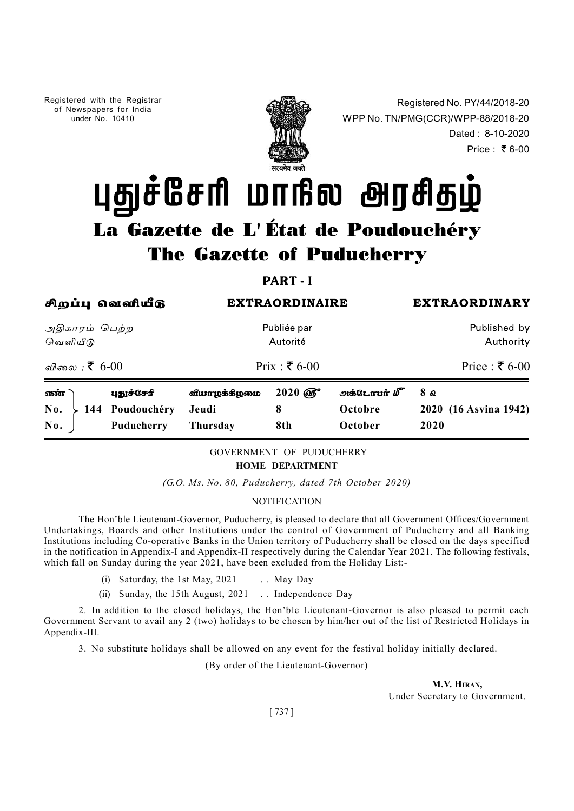Registered with the Registrar of Newspapers for India under No. 10410



Registered No. PY/44/2018-20 WPP No. TN/PMG(CCR)/WPP-88/2018-20 No. PY/44/2018-20<br>)/WPP-88/2018-20<br>Dated : 8-10-2020<br>Price : ₹6-00 Price:  $\bar{x}$  6-00

(G.O. *Ms. No. 80, Puducherry, dated 7th October 2020*)<br>
Noting the Calculation of the Calculation of the Calculation of the Calculation of the Calculation of the Calculation of the Calculation of the Calculation of Calcu **FRACK INSTRACK CONTINUM CO-OPERATION**<br>
Functions in the Union of Co-operative Co-operative Banks in the Union territory of Co-operative Co-operative Banks in the Published on the Union territory of Co-operative Banks in **EXTRAORDINAIRE EXTRAORDINAIRE EXTRAORDINAIRE** SUPER CONTRACT CONTRACT CONTRACT CONTRACT CONTRACT APPENDIX-II RESPECTIVE TO PRICE (5,6-00)<br> **EXECUTE APPENDIX-II RESPECTIVE TO APPEND APPENDIX-II RESPECTIVELY APPENDIX-II RE** Autoritie<br>
(i) Saturity<br>
(i) Saturity<br>
(i) Saturity<br>
(i) Saturity<br>
(i) Saturity<br>
(i) Saturity<br>
(i) Saturity<br>
(i) Saturity<br>
(i) Saturity<br>
(i) Saturity<br>
(i) Saturity<br>
(iii) Saturity<br>
(iii) Saturity<br>
(iii) Saturity<br>
(iii) Sa Fraction Prix :  $\overline{\xi}$  6-00 Price :  $\overline{\xi}$  6-00<br> **1999/6-27th 6-00**<br> **1999/6-27th 1942**<br> **1999/6-11th August, 2021 8** October 2020 (16 Asvina 1942)<br> **1999**<br> **1999**<br> **1999**<br> **1999**<br> **1999**<br> **1999**<br> **1999**<br> **1999** 6-00 Prix :  $\bar{x}$  6-00 Price :  $\bar{x}$  6-00  $2020\ \widehat{\omega_0}$   $2020\ \widehat{\omega_0}$   $2020\ \widehat{\omega_0}$   $2020\ \widehat{\omega_0}$ **La Gazette de L'État de Poudouchéry<br>
The Gazette of Puducherry<br>
The Gazette of Puducherry<br>
Part I<br>
Appiu savail du pous Published by<br>
Sarris Gupp<br>
Carris Computes Authority<br>
Same Republished by<br>
Same Republished by<br>
Same La Gazette de L'État de Poudouchéry<br>
The Gazette of Puducherry<br>
The Gazette of Puducherry<br>
PART-1<br>
Appin Gasaflutg<br>
Appin Gasaflutg<br>
Sanglutg<br>
Sanglutg<br>
Sanglutg<br>
Sanglutg<br>
Sanglutg<br>
Sanglutg<br>
Sanglutg<br>
Sanglutg<br>
No. 202** 

# GOVERNMENT OF PUDUCHERRY HOME DEPARTMENT

# **NOTIFICATION**

The Hon'ble Lieutenant-Governor, Puducherry, is pleased to declare that all Government Offices/Government Undertakings, Boards and other Institutions under the control of Government of Puducherry and all Banking

- 
- 

2. In addition to the closed holidays, the Hon'ble Lieutenant-Governor is also pleased to permit each Government Servant to avail any 2 (two) holidays to be chosen by him/her out of the list of Restricted Holidays in Appendix-III.

3. No substitute holidays shall be allowed on any event for the festival holiday initially declared.

(By order of the Lieutenant-Governor)

M.V. HIRAN, Under Secretary to Government.

[ 737 ]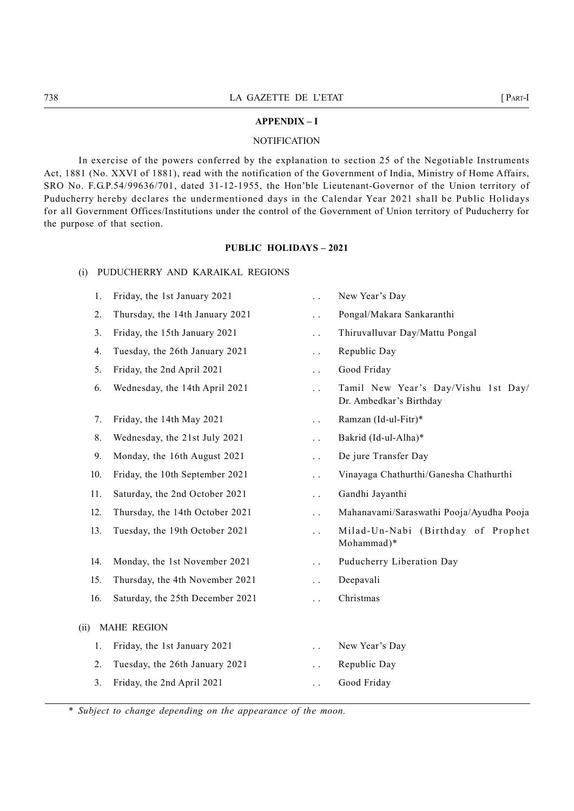# APPENDIX – I

# **NOTIFICATION**

THE CALCENTE DE L'ETAT [PART-I]<br>
APPENDIX – I<br>
NOTIFICATION<br>
In exercise of the nowers conferred by the explanation to section 25 of the Negotiable Instruments In exercise of the powers conferred by the explanation to section 25 of the Negotiable Instruments Act, 1881 (No. XXVI of 1881), read with the notification of the Government of India, Ministry of Home Affairs, EXECT IS CONSIDENT IN A GAZETTE DE L'ETAT (PART-<br>
NOTIFICATION<br>
In exercise of the powers conferred by the explanation to section 25 of the Negotiable Instruments<br>
Act, 1881 (No. XXVI of 1881), read with the notification o The UETAT FOR UETAT (PART-THE PURITE OF UNITED APPENDUX - 1<br>
NOTIFICATION<br>
The exercise of the powers conferred by the explanation to section 25 of the Negotiable Instruments<br>
Act, 1881 (No. XXVI of 1881), read with the n for all Government Offices/Institutions under the control of the Government of Union territory of Puducherry for the purpose of that section. LA GAZETTE DE L'ETAT<br>
MPTENDIX-I<br>
MOTIFICATION<br>
In exercise of the powers conferred by the explanation to section 25 of the Negotiable I:<br>
(No. XXVI of 1881), read with the notification of the Government of India, Ministry

# PUBLIC HOLIDAYS – 2021

|                | LA GAZETTE DE L'ETAT                                                                                                                                                                                                                                                                                                                                                                                                                                                                                                                                                |                        |                                                                | $[$ Part-I |
|----------------|---------------------------------------------------------------------------------------------------------------------------------------------------------------------------------------------------------------------------------------------------------------------------------------------------------------------------------------------------------------------------------------------------------------------------------------------------------------------------------------------------------------------------------------------------------------------|------------------------|----------------------------------------------------------------|------------|
|                |                                                                                                                                                                                                                                                                                                                                                                                                                                                                                                                                                                     | <b>APPENDIX - I</b>    |                                                                |            |
|                |                                                                                                                                                                                                                                                                                                                                                                                                                                                                                                                                                                     | <b>NOTIFICATION</b>    |                                                                |            |
|                | In exercise of the powers conferred by the explanation to section 25 of the Negotiable Instruments<br>881 (No. XXVI of 1881), read with the notification of the Government of India, Ministry of Home Affairs,<br>No. F.G.P.54/99636/701, dated 31-12-1955, the Hon'ble Lieutenant-Governor of the Union territory of<br>cherry hereby declares the undermentioned days in the Calendar Year 2021 shall be Public Holidays<br>1 Government Offices/Institutions under the control of the Government of Union territory of Puducherry for<br>urpose of that section. |                        |                                                                |            |
|                | <b>PUBLIC HOLIDAYS - 2021</b>                                                                                                                                                                                                                                                                                                                                                                                                                                                                                                                                       |                        |                                                                |            |
| (i)            | PUDUCHERRY AND KARAIKAL REGIONS                                                                                                                                                                                                                                                                                                                                                                                                                                                                                                                                     |                        |                                                                |            |
| $\mathbf{I}$ . | Friday, the 1st January 2021                                                                                                                                                                                                                                                                                                                                                                                                                                                                                                                                        | $\ddot{\phantom{a}}$   | New Year's Day                                                 |            |
| 2.             | Thursday, the 14th January 2021                                                                                                                                                                                                                                                                                                                                                                                                                                                                                                                                     | $\ddotsc$              | Pongal/Makara Sankaranthi                                      |            |
| 3.             | Friday, the 15th January 2021                                                                                                                                                                                                                                                                                                                                                                                                                                                                                                                                       | $\ddotsc$              | Thiruvalluvar Day/Mattu Pongal                                 |            |
| 4.             | Tuesday, the 26th January 2021                                                                                                                                                                                                                                                                                                                                                                                                                                                                                                                                      | $\ddotsc$              | Republic Day                                                   |            |
| 5.             | Friday, the 2nd April 2021                                                                                                                                                                                                                                                                                                                                                                                                                                                                                                                                          | $\ddotsc$              | Good Friday                                                    |            |
| 6.             | Wednesday, the 14th April 2021                                                                                                                                                                                                                                                                                                                                                                                                                                                                                                                                      | $\ddot{\phantom{0}}$   | Tamil New Year's Day/Vishu 1st Day/<br>Dr. Ambedkar's Birthday |            |
| 7.             | Friday, the 14th May 2021                                                                                                                                                                                                                                                                                                                                                                                                                                                                                                                                           | $\ddotsc$              | Ramzan (Id-ul-Fitr)*                                           |            |
| 8.             | Wednesday, the 21st July 2021                                                                                                                                                                                                                                                                                                                                                                                                                                                                                                                                       | $\ddotsc$              | Bakrid (Id-ul-Alha)*                                           |            |
| 9.             | Monday, the 16th August 2021                                                                                                                                                                                                                                                                                                                                                                                                                                                                                                                                        | $\ddot{\phantom{1}}$ . | De jure Transfer Day                                           |            |
| 10.            | Friday, the 10th September 2021                                                                                                                                                                                                                                                                                                                                                                                                                                                                                                                                     |                        | Vinayaga Chathurthi/Ganesha Chathurthi                         |            |
| 11.            | Saturday, the 2nd October 2021                                                                                                                                                                                                                                                                                                                                                                                                                                                                                                                                      | $\ddotsc$              | Gandhi Jayanthi                                                |            |
| 12.            | Thursday, the 14th October 2021                                                                                                                                                                                                                                                                                                                                                                                                                                                                                                                                     | $\ddot{\phantom{1}}$ . | Mahanavami/Saraswathi Pooja/Ayudha Pooja                       |            |
| 13.            | Tuesday, the 19th October 2021                                                                                                                                                                                                                                                                                                                                                                                                                                                                                                                                      | $\ddot{\phantom{1}}$ . | Milad-Un-Nabi (Birthday of Prophet<br>Mohammad)*               |            |
| 14.            | Monday, the 1st November 2021                                                                                                                                                                                                                                                                                                                                                                                                                                                                                                                                       | $\ddotsc$              | Puducherry Liberation Day                                      |            |
| 15.            | Thursday, the 4th November 2021                                                                                                                                                                                                                                                                                                                                                                                                                                                                                                                                     | $\ddotsc$              | Deepavali                                                      |            |
| 16.            | Saturday, the 25th December 2021                                                                                                                                                                                                                                                                                                                                                                                                                                                                                                                                    | $\ddot{\phantom{0}}$   | Christmas                                                      |            |
| (i)            | <b>MAHE REGION</b>                                                                                                                                                                                                                                                                                                                                                                                                                                                                                                                                                  |                        |                                                                |            |
| 1.             | Friday, the 1st January 2021                                                                                                                                                                                                                                                                                                                                                                                                                                                                                                                                        | $\sim$ $\sim$          | New Year's Day                                                 |            |
|                | Tuesday, the 26th January 2021                                                                                                                                                                                                                                                                                                                                                                                                                                                                                                                                      | $\ddotsc$              | Republic Day                                                   |            |
| 2.             |                                                                                                                                                                                                                                                                                                                                                                                                                                                                                                                                                                     |                        | Good Friday                                                    |            |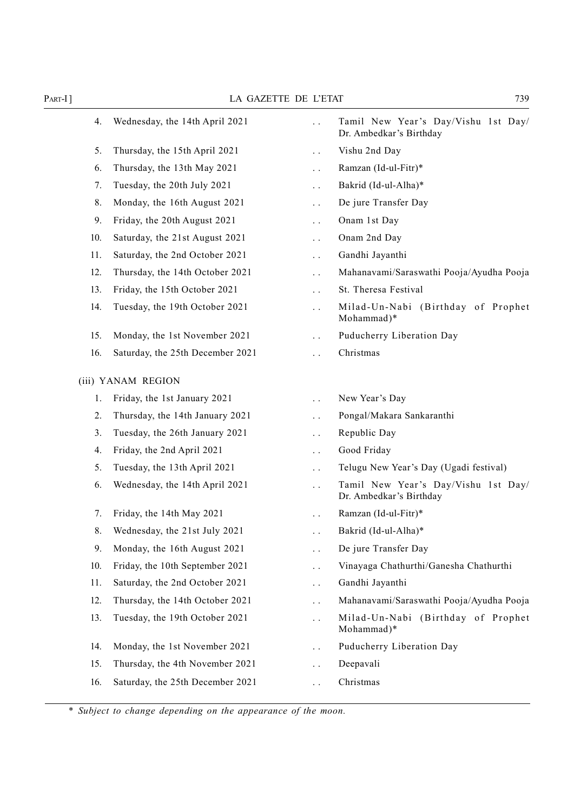| $PART-I]$ | LA GAZETTE DE L'ETAT             |                                                  | 739                                                            |
|-----------|----------------------------------|--------------------------------------------------|----------------------------------------------------------------|
| 4.        | Wednesday, the 14th April 2021   | $\ddot{\phantom{0}}$                             | Tamil New Year's Day/Vishu 1st Day/<br>Dr. Ambedkar's Birthday |
| 5.        | Thursday, the 15th April 2021    | $\ddot{\phantom{0}}$                             | Vishu 2nd Day                                                  |
| 6.        | Thursday, the 13th May 2021      | $\ddots$                                         | Ramzan (Id-ul-Fitr)*                                           |
| 7.        | Tuesday, the 20th July 2021      | $\ddots$                                         | Bakrid (Id-ul-Alha)*                                           |
| 8.        | Monday, the 16th August 2021     | $\ddots$                                         | De jure Transfer Day                                           |
| 9.        | Friday, the 20th August 2021     | $\ddots$                                         | Onam 1st Day                                                   |
| 10.       | Saturday, the 21st August 2021   | $\ddots$                                         | Onam 2nd Day                                                   |
| 11.       | Saturday, the 2nd October 2021   | $\ddots$                                         | Gandhi Jayanthi                                                |
| 12.       | Thursday, the 14th October 2021  | $\ddots$                                         | Mahanavami/Saraswathi Pooja/Ayudha Pooja                       |
| 13.       | Friday, the 15th October 2021    | $\ddot{\phantom{0}}$                             | St. Theresa Festival                                           |
| 14.       | Tuesday, the 19th October 2021   | $\ddotsc$                                        | Milad-Un-Nabi (Birthday of Prophet<br>Mohammad)*               |
| 15.       | Monday, the 1st November 2021    | $\ddot{\phantom{0}}$                             | Puducherry Liberation Day                                      |
| 16.       | Saturday, the 25th December 2021 | $\ddot{\phantom{0}}$                             | Christmas                                                      |
|           | (iii) YANAM REGION               |                                                  |                                                                |
| 1.        | Friday, the 1st January 2021     |                                                  | New Year's Day                                                 |
|           | Thursday, the 14th January 2021  | $\ddot{\phantom{a}}$ .                           | Pongal/Makara Sankaranthi                                      |
| 2.        | Tuesday, the 26th January 2021   | $\ddot{\phantom{0}}$ .                           | Republic Day                                                   |
| 3.        | Friday, the 2nd April 2021       | $\ddot{\phantom{1}}$ .                           | Good Friday                                                    |
| 4.        | Tuesday, the 13th April 2021     | $\ddotsc$                                        | Telugu New Year's Day (Ugadi festival)                         |
| 5.<br>6.  | Wednesday, the 14th April 2021   | $\ddot{\phantom{1}}$ .<br>$\ddot{\phantom{0}}$   | Tamil New Year's Day/Vishu 1st Day/<br>Dr. Ambedkar's Birthday |
| 7.        | Friday, the 14th May 2021        | $\ddot{\phantom{0}}$                             | Ramzan (Id-ul-Fitr)*                                           |
| 8.        | Wednesday, the 21st July 2021    | $\ddot{\phantom{0}}$                             | Bakrid (Id-ul-Alha)*                                           |
| 9.        | Monday, the 16th August 2021     | $\ddot{\phantom{a}}$ .                           | De jure Transfer Day                                           |
| 10.       | Friday, the 10th September 2021  |                                                  | Vinayaga Chathurthi/Ganesha Chathurthi                         |
| 11.       | Saturday, the 2nd October 2021   | $\ddot{\phantom{a}}$ .<br>$\ddot{\phantom{1}}$ . | Gandhi Jayanthi                                                |
| 12.       | Thursday, the 14th October 2021  | $\ddot{\phantom{0}}$                             | Mahanavami/Saraswathi Pooja/Ayudha Pooja                       |
| 13.       | Tuesday, the 19th October 2021   | $\ddot{\phantom{a}}$ .                           | Milad-Un-Nabi (Birthday of Prophet                             |
|           |                                  |                                                  | Mohammad)*                                                     |
| 14.       | Monday, the 1st November 2021    | $\ddot{\phantom{0}}$                             | Puducherry Liberation Day                                      |
| 15.       | Thursday, the 4th November 2021  | $\ddot{\phantom{0}}$                             | Deepavali                                                      |
| 16.       | Saturday, the 25th December 2021 | $\ddot{\phantom{0}}$                             | Christmas                                                      |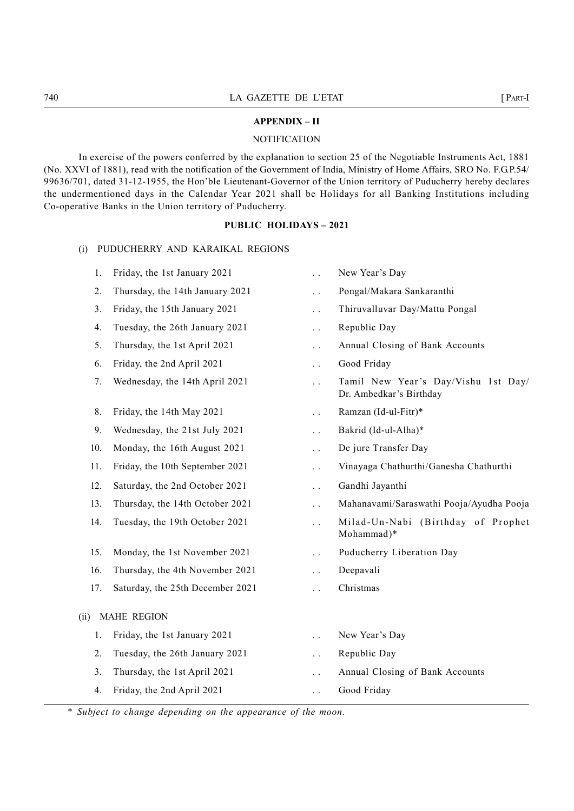# APPENDIX – II

# **NOTIFICATION**

THE CALCENTE DE L'ETAT [PART-I]<br>
APPENDIX – II<br>
NOTIFICATION<br>
In exercise of the powers conferred by the explanation to section 25 of the Negotiable Instruments Act, 1881 In exercise of the powers conferred by the explanation to section 25 of the Negotiable Instruments Act, 1881 (No. XXVI of 1881), read with the notification of the Government of India, Ministry of Home Affairs, SRO No. F.G.P.54/ 99636/701, dated 31-12-1955, the Hon'ble Lieutenant-Governor of the Union territory of Puducherry hereby declares the undermentioned days in the Calendar Year 2021 shall be Holidays for all Banking Institutions including Co-operative Banks in the Union territory of Puducherry. LA GAZETTE DE L'ETAT<br>
MOTIFICATION<br>
In exercise of the powers conferred by the explanation to section 25 of the Negotiable Instrument<br>
VI of 1881), read with the notification of the Government of India, Ministry of Home Af 1. Friday, the 1st January 2021<br>
2. Thirds, the 1st January 2021<br>
2. This January 2021<br>
2. This January 2021<br>
2. This January 2021<br>
2. This January 2021<br>
2. This January 2021<br>
2. This January 2021<br>
2. This January 2021<br>
2. 2. Thursday, the 14th January 2021 . . Pongal/Makara Sankaranthi 3. Friday, the 15th January 2021<br>3. Friday, the 15th January 2021<br>3. Friday, the 15th January 2021<br>11. Friday, Stratewith the notification of the information of India, Ministry of Fuendalistics, SRO No. F.C.<br>19. Friday, Th 1. CALCTIVE DE L'ETAT (PART-1 MONTENT)<br>
2. THE SOLUTE APPENDIX - II<br>
NOTIFICATION<br>
2. NOTIFICATION<br>
2. ACTE ANSIS (FIRSI), read with the notification of the Government of India, Ministry of Home Affairs, SRO No. F.G.P.54/<br> EXAMPLE DE L'ETAT [PART-<br>
RPENDIX – II<br>
NOTIFICATION<br>
NOTIFICATION<br>
REGISE), read with the notification of the Government of India, Ministry of Home Affairs, SRO No. F.G.P.54/<br>
dated 31-12-1355, the Holi Leutentan-Governme **EXECTE APPENDIX - II**<br>
NOTIFICATION<br>
NOTIFICATION<br>
INCORTED SOFT IRESI), read with the notification of the Government of India, Ministry of Home Affairs, SRO No. F.G.P.54/<br>
1861, read with the notification of the Governme Xerisies of the powers conferred by the cylindric section 25 of the Negotiable Instruments Act, 1881<br>
1881), read with the notification of the Government of India, Ministry of Pome Affairs, SRO No. F.G.P.54/<br>
2021 comment 1881), read with the notification of the Government of India, Ministry of Home Affairs, SRO No. F.G.P.54/<br>
188. Friday, Sre Hom ble Lieutenant-Governor of the Union territory of Paducherry, hereby declares<br>
189. Friday, t 9. Headware 31:12-1995, the Hom'ble Lieutenant-Governor of the Union territory of Pulueherry hereby declares<br>
19. Headware Poisson in the Calendar Year 2021 shall be Holidays for all Banking Institutions including<br>
19. Hea 10. Finday, the 14th April 2021<br>
10. Monday Sandwale Rections<br>
1. Friday, the 14th January 2021<br>
2. Thursday, the 14th January 2021<br>
2. Thursday, the 15th January 2021<br>
1. The Vear's Day<br>
1. The sady, the 15th August 2021<br>

# PUBLIC HOLIDAYS – 2021

- 
- 
- 
- 
- 
- 
- 
- 
- 
- 
- 
- 
- 
- 
- 
- 
- 
- 
- 1. Wednesday, the 14th April 2021<br>
1. Wednesday, the 14th April 2021<br>
1. Tamil New Year's Day<br>
1. Priday, the 14th May 2021<br>
1. Emid New Year's Birthday<br>
1. Priday, the 16th August 2021<br>
1. Eriday, the 16th August 2021<br>
1. 11. Friday, the 10th September 2021 ... Vinayaga Ch<br>
12. Saturday, the 2nd October 2021 ... Gandhi Jayar<br>
13. Thursday, the 14th October 2021 ... Mahanavami<br>
14. Tuesday, the 19th October 2021 ... Milad-Un-1<br>
Mohammad<br>
15.
	-
	-
	-

- 
- 
- 
- 
- Dr. Ambedkar's Birthday PUBLIC HOLIDAYS - 2021<br>
11. Friday, the 1st January 2021<br>
2. Thursday, the 14th January 2021<br>
2. Thursday, the 14th January 2021<br>
3. Friday, the 15th January 2021<br>
4. Tuesday, the 26th January 2021<br>
5. Thursday, the 26th J
	-
	-
	-
	-
	- -
- 12. Saturday, the 2nd October 2021 . . Gandhi Jayanthi 13. Thursday, the 14th October 2021 . . Mahanavami/Saraswathi Pooja/Ayudha Pooja 14. Tuesday, the 19th October 2021 . . Milad-Un-Na bi (B irthd ay of Pr ophe t Mohammad)\* 15. Monday, the 1st November 2021 . . Puducherry Liberation Day 16. Thursday, the 4th November 2021 . . Deepavali 5. Thursday, the 1st April 2021 ... Annual Closing of Bank Accounts<br>
6. Friday, the 2nd April 2021 ... Good Friday<br>
7. Wednesday, the 14th April 2021 ... Tamil New Year's Day/Vishu 1st Day/<br>
Dr. Ambedkar's Birthday<br>
8. Fri 1. Friday, the 14th May 2021<br>
1. Friday, the 14th May 2021<br>
1. Ramzan (Id-ul-Fitr)\*<br>
1. Friday, the 16th August 2021<br>
1. Friday, the 16th August 2021<br>
1. Triang, the 16th September 2021<br>
1. Thursday, the 19th October 2021<br> 2. Tuesday, the 26th January 2021 . . Republic Day 3. Wednesday, the 21st July 2021 . Bakrid (Id-ul-Alha)\*<br>
3. Monday, the 10th August 2021 . De jure Transfer Day<br>
1. Friday, the 10th September 2021 . . Vinayaga Chathurthi/Ganesha Chathurthi<br>
2. Saturday, the 14th October 4. Friday, the 2nd April 2021 . . Good Friday
	-
	-
	-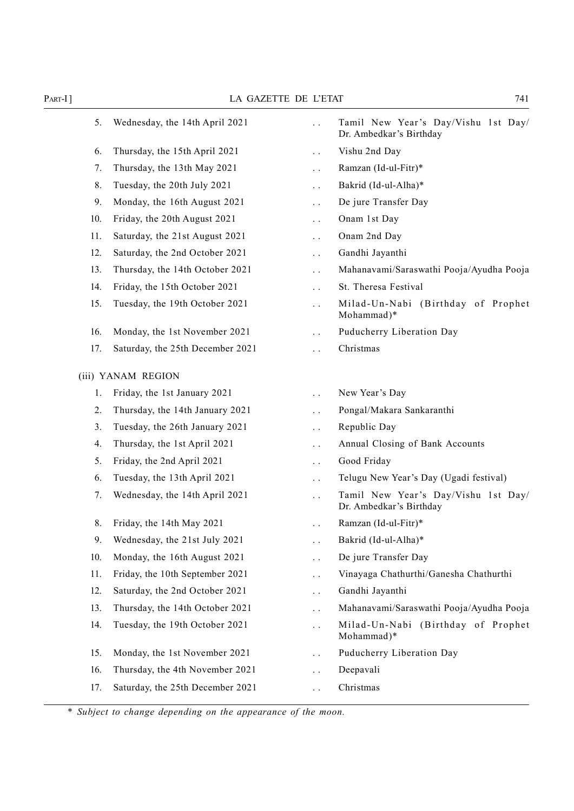PART-I]<br>
LA GAZETTE DE L'ETAT 741<br>
5. Wednesday, the 14th April 2021 ... Tamil New Year's Day/Vishu 1st Day/<br>
Dr. Ambedkar's Birthday<br>
6. Thursday, the 15th April 2021 ... Vishu 2nd Day 5. Wednesday, the 14th April 2021 . . Tamil New Year 's Day/Vishu 1st Day/ Dr. Ambedkar's Birthday Example 19th April 2021<br>
14th April 2021 ... Tamil New Year's Day/Vishu 1st Day<br>
16. Thursday, the 15th April 2021 ... Vishu 2nd Day<br>
16. Thursday, the 13th May 2021 ... Namzan (Id-ul-Fitr)\*<br>
18. Tuesday, the 20th July 202 7. Thursday, the 13th May 2021 . . Ramzan (Id-ul-Fitr)\* 8. Tuesday, the 20th July 2021 . . Bakrid (Id-ul-Alha)\* 9. Monday, the 16th August 2021 . . De jure Transfer Day 10. Friday, the 20th August 2021 . . Onam 1st Day 11. Saturday, the 21st August 2021 . . Onam 2nd Day 12. Saturday, the 2nd October 2021 . . Gandhi Jayanthi 13. Thursday, the 14th October 2021 . . Mahanavami/Saraswathi Pooja/Ayudha Pooja 14. Friday, the 15th October 2021 . . St. Theresa Festival 15. Tuesday, the 19th October 2021 . . Milad-Un-Na bi (B irthd ay of Pr ophe t Mohammad)\* 16. Monday, the 1st November 2021 . . Puducherry Liberation Day 17. Saturday, the 25th December 2021 . . Christmas (iii) YANAM REGION 1. Thursday, the 15th April 2021 . Nishu 2nd Day<br>
1. Thursday, the 13th May 2021 . Bakrid (Id-ul-Fitr)\*<br>
1. Bakrid (Id-ul-Alha)\*<br>
1. Bakrid (Id-ul-Alha)\*<br>
1. Sturday, the 20th August 2021 . Onam 1st Day<br>
1. Sturday, the 20 2. Thursday, the 14th January 2021 . . Pongal/Makara Sankaranthi 3. Tuesday, the 26th January 2021 . . Republic Day 4. Thursday, the 1st April 2021 . . Annual Closing of Bank Accounts 5. Friday, the 2nd April 2021 . . Good Friday 1. Saturday, the 21st August 2021 ... Onam 2nd Day<br>
2. Saturday, the 2nd October 2021 ... Gundhi Jayanthi<br>
4. Firday, the 13th Actober 2021 ... Mahanarami/Saraswathi Pooja/Ayudha Pooja<br>
4. Firday, the 13th Actober 2021 ... 7. Wednesday, the 14th April 2021 . . Tamil New Year 's Day/Vishu 1st Day/ Dr. Ambedkar's Birthday 8. Friday, the 14th May 2021 . . Ramzan (Id-ul-Fitr)\* 9. Wednesday, the 21st July 2021 . . Bakrid (Id-ul-Alha)\* 11. Finday, the 1st November 2021 ... The state of the 19th April 2021 ... This state of the 16th August 2021 ... The state of the 16th August 2021 ... The state of the 14th August 2021 ... The state of the 16th August 202 11. Friday, the 10th September 2021 . . Vinayaga Chathurthi/Ganesha Chathurthi 12. Saturday, the 2nd October 2021 . . Gandhi Jayanthi 13. Thursday, the 14th October 2021 . . Mahanavami/Saraswathi Pooja/Ayudha Pooja 14. Tuesday, the 19th October 2021 . . Milad-Un-Na bi (B irthd ay of Pr ophe t Mohammad)\* 2. Thursday, the 14th January 2021 ... Ropublic Day<br>
3. Tuesday, the 1st April 2021 ... Annual Closing of Bank Accounts<br>
4. Thusday, the 13th April 2021 ... Annual Closing of Bank Accounts<br>
5. Friday, the 13th April 2021 16. Thursday, the 4th November 2021 . . Deepavali 17. Saturday, the 25th December 2021 . . Christmas 3. Friday, the 2nd April 2021 ... Subject to change depending on the appearance of the moon.<br>
17. Wednesday, the 14th April 2021 ... Tamil New The Ambedda<br>
19. Wednesday, the 14th May 2021 ... Ramzan (Id-u<br>
10. Monday, the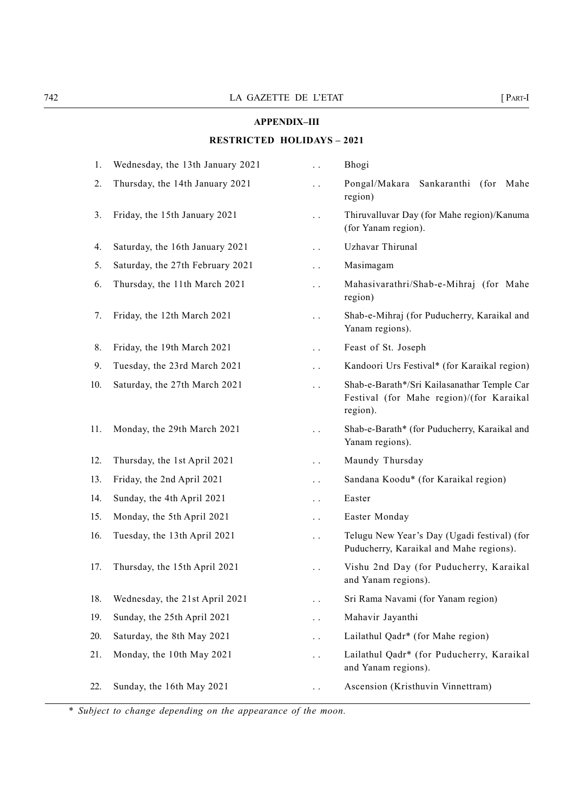# APPENDIX–III

# TA2<br>
LA GAZETTE DE L'ETAT [ PART-I<br>
APPENDIX-III<br>
RESTRICTED HOLIDAYS – 2021 RESTRICTED HOLIDAYS – 2021

|     | LA GAZETTE DE L'ETAT              |                        | $[$ PART-I                                                                                          |
|-----|-----------------------------------|------------------------|-----------------------------------------------------------------------------------------------------|
|     |                                   | <b>APPENDIX-III</b>    |                                                                                                     |
|     | <b>RESTRICTED HOLIDAYS - 2021</b> |                        |                                                                                                     |
| 1.  | Wednesday, the 13th January 2021  | $\ddot{\phantom{0}}$   | Bhogi                                                                                               |
| 2.  | Thursday, the 14th January 2021   | $\ddot{\phantom{0}}$   | Pongal/Makara Sankaranthi (for Mahe<br>region)                                                      |
| 3.  | Friday, the 15th January 2021     | $\ddotsc$              | Thiruvalluvar Day (for Mahe region)/Kanuma<br>(for Yanam region).                                   |
| 4.  | Saturday, the 16th January 2021   | $\ddot{\phantom{0}}$   | Uzhavar Thirunal                                                                                    |
| 5.  | Saturday, the 27th February 2021  | $\ddotsc$              | Masimagam                                                                                           |
| 6.  | Thursday, the 11th March 2021     | $\ddotsc$              | Mahasivarathri/Shab-e-Mihraj (for Mahe<br>region)                                                   |
| 7.  | Friday, the 12th March 2021       | $\ddot{\phantom{0}}$   | Shab-e-Mihraj (for Puducherry, Karaikal and<br>Yanam regions).                                      |
| 8.  | Friday, the 19th March 2021       | $\bullet$ . $\bullet$  | Feast of St. Joseph                                                                                 |
| 9.  | Tuesday, the 23rd March 2021      | $\ddot{\phantom{0}}$   | Kandoori Urs Festival* (for Karaikal region)                                                        |
| 10. | Saturday, the 27th March 2021     | $\ddot{\phantom{0}}$   | Shab-e-Barath*/Sri Kailasanathar Temple Car<br>Festival (for Mahe region)/(for Karaikal<br>region). |
| 11. | Monday, the 29th March 2021       | $\ddot{\phantom{0}}$   | Shab-e-Barath* (for Puducherry, Karaikal and<br>Yanam regions).                                     |
| 12. | Thursday, the 1st April 2021      | $\ddotsc$              | Maundy Thursday                                                                                     |
| 13. | Friday, the 2nd April 2021        | $\ddot{\phantom{a}}$ . | Sandana Koodu* (for Karaikal region)                                                                |
| 14. | Sunday, the 4th April 2021        | $\ddot{\phantom{1}}$ . | Easter                                                                                              |
| 15. | Monday, the 5th April 2021        | $\ddotsc$              | Easter Monday                                                                                       |
| 16. | Tuesday, the 13th April 2021      | $\ddot{\phantom{1}}$ . | Telugu New Year's Day (Ugadi festival) (for<br>Puducherry, Karaikal and Mahe regions).              |
| 17. | Thursday, the 15th April 2021     | $\ddot{\phantom{0}}$   | Vishu 2nd Day (for Puducherry, Karaikal<br>and Yanam regions).                                      |
| 18. | Wednesday, the 21st April 2021    | $\ddot{\phantom{0}}$   | Sri Rama Navami (for Yanam region)                                                                  |
| 19. | Sunday, the 25th April 2021       | $\ddot{\phantom{0}}$   | Mahavir Jayanthi                                                                                    |
| 20. | Saturday, the 8th May 2021        | $\ddot{\phantom{0}}$   | Lailathul Qadr* (for Mahe region)                                                                   |
| 21. | Monday, the 10th May 2021         | $\ddot{\phantom{0}}$   | Lailathul Qadr* (for Puducherry, Karaikal<br>and Yanam regions).                                    |
| 22. | Sunday, the 16th May 2021         | $\ddot{\phantom{0}}$   | Ascension (Kristhuvin Vinnettram)                                                                   |